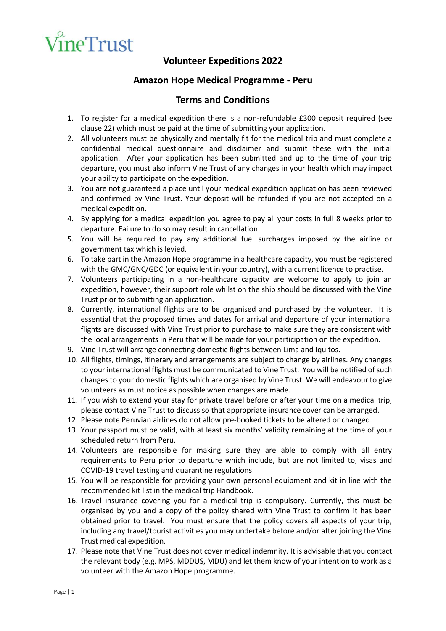

## **Volunteer Expeditions 2022**

## **Amazon Hope Medical Programme - Peru**

## **Terms and Conditions**

- 1. To register for a medical expedition there is a non-refundable £300 deposit required (see clause 22) which must be paid at the time of submitting your application.
- 2. All volunteers must be physically and mentally fit for the medical trip and must complete a confidential medical questionnaire and disclaimer and submit these with the initial application. After your application has been submitted and up to the time of your trip departure, you must also inform Vine Trust of any changes in your health which may impact your ability to participate on the expedition.
- 3. You are not guaranteed a place until your medical expedition application has been reviewed and confirmed by Vine Trust. Your deposit will be refunded if you are not accepted on a medical expedition.
- 4. By applying for a medical expedition you agree to pay all your costs in full 8 weeks prior to departure. Failure to do so may result in cancellation.
- 5. You will be required to pay any additional fuel surcharges imposed by the airline or government tax which is levied.
- 6. To take part in the Amazon Hope programme in a healthcare capacity, you must be registered with the GMC/GNC/GDC (or equivalent in your country), with a current licence to practise.
- 7. Volunteers participating in a non-healthcare capacity are welcome to apply to join an expedition, however, their support role whilst on the ship should be discussed with the Vine Trust prior to submitting an application.
- 8. Currently, international flights are to be organised and purchased by the volunteer. It is essential that the proposed times and dates for arrival and departure of your international flights are discussed with Vine Trust prior to purchase to make sure they are consistent with the local arrangements in Peru that will be made for your participation on the expedition.
- 9. Vine Trust will arrange connecting domestic flights between Lima and Iquitos.
- 10. All flights, timings, itinerary and arrangements are subject to change by airlines. Any changes to your international flights must be communicated to Vine Trust. You will be notified of such changes to your domestic flights which are organised by Vine Trust. We will endeavour to give volunteers as must notice as possible when changes are made.
- 11. If you wish to extend your stay for private travel before or after your time on a medical trip, please contact Vine Trust to discuss so that appropriate insurance cover can be arranged.
- 12. Please note Peruvian airlines do not allow pre-booked tickets to be altered or changed.
- 13. Your passport must be valid, with at least six months' validity remaining at the time of your scheduled return from Peru.
- 14. Volunteers are responsible for making sure they are able to comply with all entry requirements to Peru prior to departure which include, but are not limited to, visas and COVID-19 travel testing and quarantine regulations.
- 15. You will be responsible for providing your own personal equipment and kit in line with the recommended kit list in the medical trip Handbook.
- 16. Travel insurance covering you for a medical trip is compulsory. Currently, this must be organised by you and a copy of the policy shared with Vine Trust to confirm it has been obtained prior to travel. You must ensure that the policy covers all aspects of your trip, including any travel/tourist activities you may undertake before and/or after joining the Vine Trust medical expedition.
- 17. Please note that Vine Trust does not cover medical indemnity. It is advisable that you contact the relevant body (e.g. MPS, MDDUS, MDU) and let them know of your intention to work as a volunteer with the Amazon Hope programme.